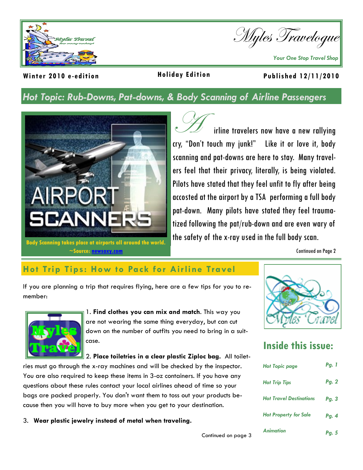

Myles Travelogue

*Your One Stop Travel Shop* 

### **Holiday Edition**

#### **Winter 2010 e -edition Published 12/11/2010**

## *Hot Topic: Rub-Downs, Pat-downs, & Body Scanning of Airline Passengers*



irline travelers now have a new rallying cry, "Don't touch my junk!" Like it or love it, body scanning and pat-downs are here to stay. Many travelers feel that their privacy, literally, is being violated. Pilots have stated that they feel unfit to fly after being accosted at the airport by a TSA performing a full body pat-down. Many pilots have stated they feel traumatized following the pat/rub-down and are even wary of the safety of the x-ray used in the full body scan.

Continued on Page 2

## **Hot Trip Tips: How to Pack for Airline Travel**

If you are planning a trip that requires flying, here are a few tips for you to remember:



1. **Find clothes you can mix and match**. This way you are not wearing the same thing everyday, but can cut down on the number of outfits you need to bring in a suitcase.

2. **Place toiletries in a clear plastic Ziploc bag.** All toilet-

ries must go through the x-ray machines and will be checked by the inspector. You are also required to keep these items in 3-oz containers. If you have any questions about these rules contact your local airlines ahead of time so your bags are packed properly. You don't want them to toss out your products because then you will have to buy more when you get to your destination.

3. **Wear plastic jewelry instead of metal when traveling.** 



# **Inside this issue:**

| <b>Hot Topic page</b>          | <b>Pg.</b> 1 |
|--------------------------------|--------------|
| <b>Hot Trip Tips</b>           | Pg. 2        |
| <b>Hot Travel Destinations</b> | Pg. 3        |
| <b>Hot Property for Sale</b>   | Pg. 4        |
| <b>Animation</b>               | <b>Pg. 5</b> |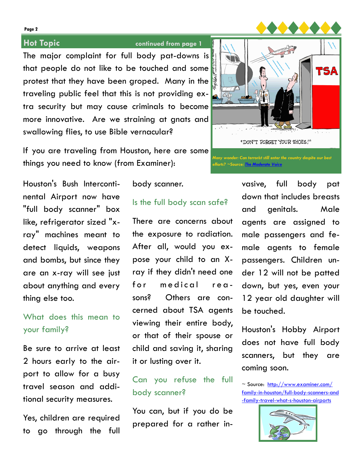**Page 2**

### **Hot Topic continued from page 1**

The major complaint for full body pat-downs is that people do not like to be touched and some protest that they have been groped. Many in the traveling public feel that this is not providing extra security but may cause criminals to become more innovative. Are we straining at gnats and swallowing flies, to use Bible vernacular?

If you are traveling from Houston, here are some things you need to know (from Examiner):

 $\sim$   $\sim$   $\sim$ an and "DON'T FORGET YOUR SHOES!" *Many wonder: Can terrorist still enter the country despite our best efforts? ~Source: [The Moderate Voice](http://themoderatevoice.com/wordpress-engine/files/caglecartoons03/_B7BADD03_9505_4DBC_A406_CFBAA5D70FE6_.gif)*

Houston's Bush Intercontinental Airport now have "full body scanner" box like, refrigerator sized "xray" machines meant to detect liquids, weapons and bombs, but since they are an x-ray will see just about anything and every thing else too.

## What does this mean to your family?

Be sure to arrive at least 2 hours early to the airport to allow for a busy travel season and additional security measures.

Yes, children are required to go through the full

#### body scanner.

## Is the full body scan safe?

There are concerns about the exposure to radiation. After all, would you expose your child to an Xray if they didn't need one for medical reasons? Others are concerned about TSA agents viewing their entire body, or that of their spouse or child and saving it, sharing it or lusting over it.

## Can you refuse the full body scanner?

You can, but if you do be prepared for a rather invasive, full body pat down that includes breasts and genitals. Male agents are assigned to male passengers and female agents to female passengers. Children under 12 will not be patted down, but yes, even your 12 year old daughter will be touched.

Houston's Hobby Airport does not have full body scanners, but they are coming soon.

~ Source: [http://www.examiner.com/](http://www.examiner.com/family-in-houston/full-body-scanners-and-family-travel-what-s-houston-airports) [family-in-houston/full-body-scanners-and](http://www.examiner.com/family-in-houston/full-body-scanners-and-family-travel-what-s-houston-airports) [-family-travel-what-s-houston-airports](http://www.examiner.com/family-in-houston/full-body-scanners-and-family-travel-what-s-houston-airports)

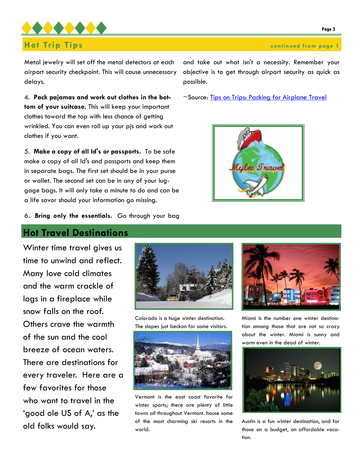

Metal jewelry will set off the metal detectors at each airport security checkpoint. This will cause unnecessary delays.

4. **Pack pajamas and work out clothes in the bottom of your suitcase.** This will keep your important clothes toward the top with less chance of getting wrinkled. You can even roll up your pjs and work out clothes if you want.

5. **Make a copy of all Id's or passports.** To be safe make a copy of all Id's and passports and keep them in separate bags. The first set should be in your purse or wallet. The second set can be in any of your luggage bags. It will only take a minute to do and can be a life savor should your information go missing.

6. **Bring only the essentials.** Go through your bag

### **Hot Travel Destinations**

Winter time travel gives us time to unwind and reflect. Many love cold climates and the warm crackle of logs in a fireplace while snow falls on the roof. Others crave the warmth of the sun and the cool breeze of ocean waters. There are destinations for every traveler. Here are a few favorites for those who want to travel in the 'good ole US of A,' as the old folks would say.



Colorado is a huge winter destination. The slopes just beckon for some visitors.



Vermont is the east coast favorite for winter sports; there are plenty of little towns all throughout Vermont. house some of the most charming ski resorts in the world.

and take out what isn't a necessity. Remember your objective is to get through airport security as quick as possible.

~Source: [Tips on Trips: Packing for Airplane Travel](http://www.associatedcontent.com/article/224763/tips_on_trips_packing_for_airplane_pg2.html?cat=3)





Miami is the number one winter destination among those that are not so crazy about the winter. Miami is sunny and warm even in the dead of winter.



Austin is a fun winter destination, and for those on a budget, an affordable vacation.